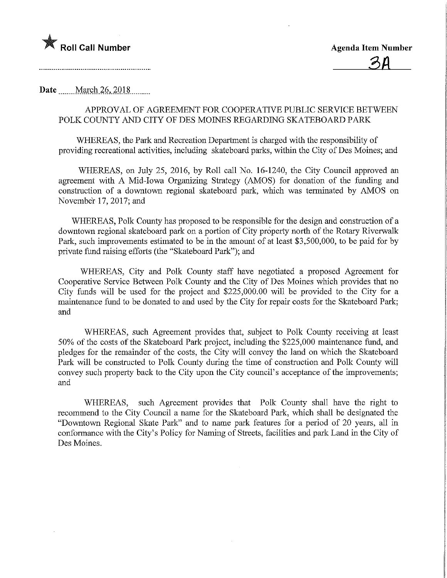

Date <u>March 26, 2018</u>

## APPROVAL OF AGREEMENT FOR COOPERATIVE PUBLIC SERVICE BETWEEN POLK COUNTY AND CITY OF DES MOINES REGARDING SKATEBOARD PARK

WHEREAS, the Park and Recreation Department is charged with the responsibility of providing recreational activities, including skateboard parks, within the City of Des Moines; and

WHEREAS, on July 25, 2016, by Roll call No. 16-1240, the City Council approved an agreement with A Mid-Iowa Organizing Strategy (AMOS) for donation of the funding and construction of a downtown regional skateboard park, which was terminated by AMOS on November 17, 2017; and

WHEREAS, Polk County has proposed to be responsible for the design and construction of a downtown regional skateboard park on a portion of City property north of the Rotary Riverwalk Park, such improvements estimated to be in the amount of at least \$3,500,000, to be paid for by private fund raising efforts (the "Skateboard Park"), and

WHEREAS, City and Polk County staff have negotiated a proposed Agreement for Cooperative Service Between Polk County and the City of Des Moines which provides that no City funds will be used for the project and \$225,000.00 will be provided to the City for a maintenance fund to be donated to and used by the City for repair costs for the Skateboard Park; and

WHEREAS, such Agreement provides that, subject to Polk County receiving at least 50% of the costs of the Skateboard Park project, including the \$225,000 maintenance fund, and pledges for the remainder of the costs, the City will convey the land on which the Skateboard Park will be constructed to Polk County during the time of construction and Polk County will convey such property back to the City upon the City council's acceptance of the improvements; and

WHEREAS, such Agreement provides that Polk County shall have the right to recommend to the City Council a name for the Skateboard Park, which shall be designated the "Downtown Regional Skate Park" and to name park features for a period of 20 years, all in confonnance with the City's Policy for Naming of Streets, facilities and park Land in the City of Des Moines.